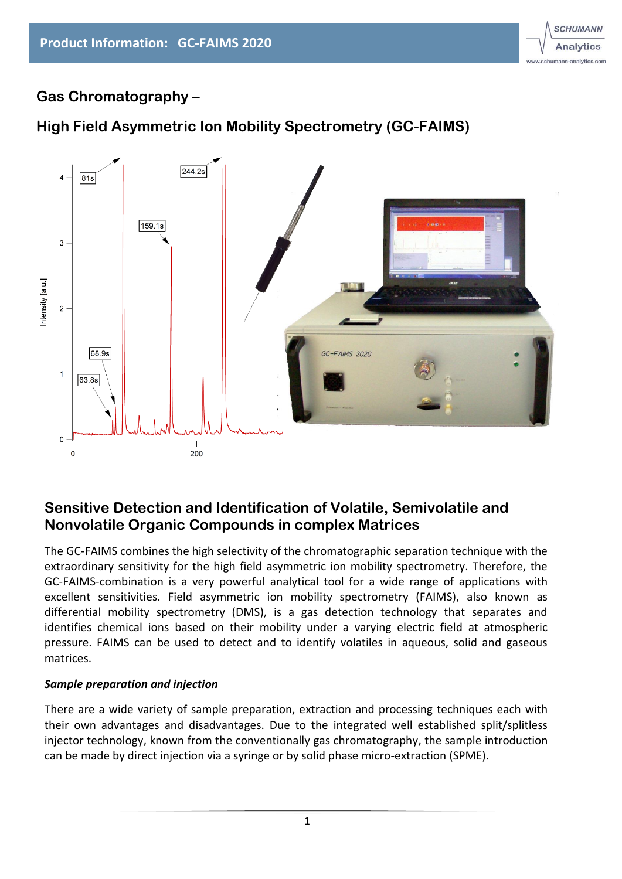

## **Gas Chromatography –**

## **High Field Asymmetric Ion Mobility Spectrometry (GC-FAIMS)**



### **Sensitive Detection and Identification of Volatile, Semivolatile and Nonvolatile Organic Compounds in complex Matrices**

The GC-FAIMS combines the high selectivity of the chromatographic separation technique with the extraordinary sensitivity for the high field asymmetric ion mobility spectrometry. Therefore, the GC-FAIMS-combination is a very powerful analytical tool for a wide range of applications with excellent sensitivities. Field asymmetric ion mobility spectrometry (FAIMS), also known as differential mobility spectrometry (DMS), is a gas detection technology that separates and identifies chemical ions based on their mobility under a varying electric field at atmospheric pressure. FAIMS can be used to detect and to identify volatiles in aqueous, solid and gaseous matrices.

#### *Sample preparation and injection*

There are a wide variety of sample preparation, extraction and processing techniques each with their own advantages and disadvantages. Due to the integrated well established split/splitless injector technology, known from the conventionally gas chromatography, the sample introduction can be made by direct injection via a syringe or by solid phase micro-extraction (SPME).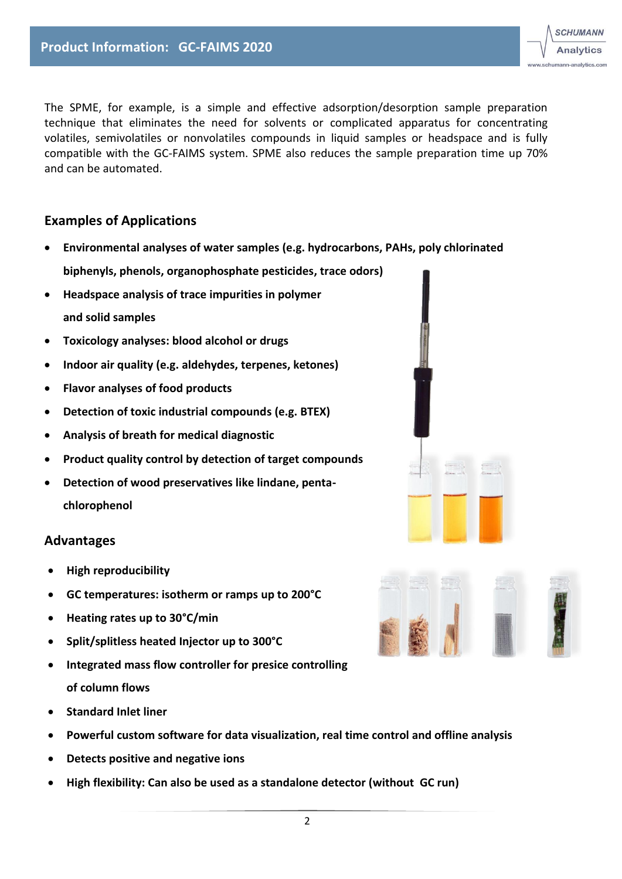

The SPME, for example, is a simple and effective adsorption/desorption sample preparation technique that eliminates the need for solvents or complicated apparatus for concentrating volatiles, semivolatiles or nonvolatiles compounds in liquid samples or headspace and is fully compatible with the GC-FAIMS system. SPME also reduces the sample preparation time up 70% and can be automated.

### **Examples of Applications**

- **Environmental analyses of water samples (e.g. hydrocarbons, PAHs, poly chlorinated biphenyls, phenols, organophosphate pesticides, trace odors)**
- **Headspace analysis of trace impurities in polymer and solid samples**
- **Toxicology analyses: blood alcohol or drugs**
- **Indoor air quality (e.g. aldehydes, terpenes, ketones)**
- **Flavor analyses of food products**
- **Detection of toxic industrial compounds (e.g. BTEX)**
- **Analysis of breath for medical diagnostic**
- **Product quality control by detection of target compounds**
- **Detection of wood preservatives like lindane, pentachlorophenol**

#### **Advantages**

- **High reproducibility**
- **GC temperatures: isotherm or ramps up to 200°C**
- **Heating rates up to 30°C/min**
- **Split/splitless heated Injector up to 300°C**
- **Integrated mass flow controller for presice controlling of column flows**
- **Standard Inlet liner**
- **Powerful custom software for data visualization, real time control and offline analysis**
- **Detects positive and negative ions**
- **High flexibility: Can also be used as a standalone detector (without GC run)**

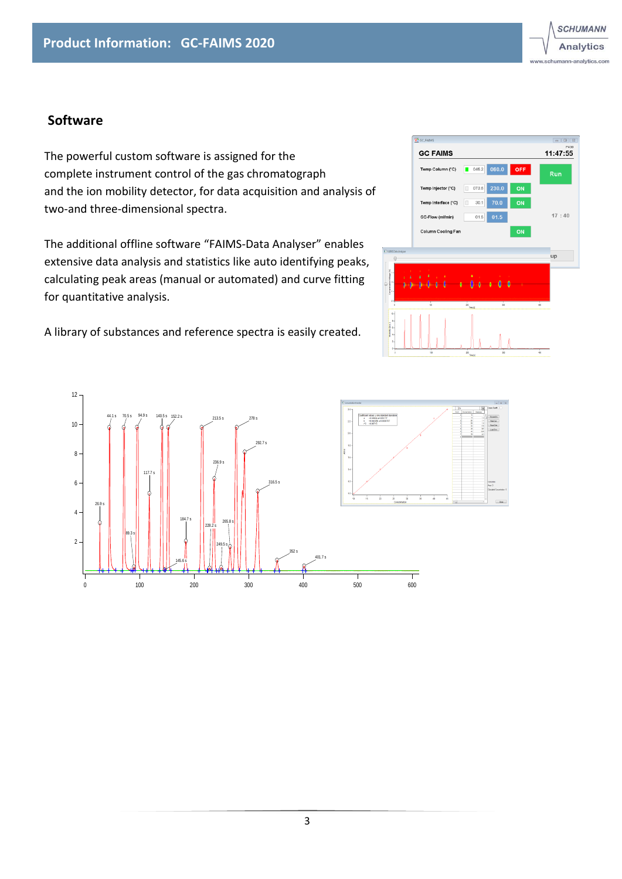### **Software**

The powerful custom software is assigned for the complete instrument control of the gas chromatograph and the ion mobility detector, for data acquisition and analysis of two-and three-dimensional spectra.

The additional offline software "FAIMS-Data Analyser" enables extensive data analysis and statistics like auto identifying peaks, calculating peak areas (manual or automated) and curve fitting for quantitative analysis.

A library of substances and reference spectra is easily created.